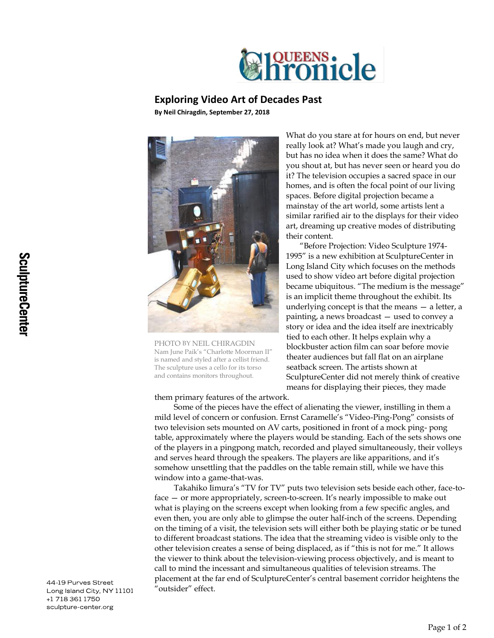

## **Exploring Video Art of Decades Past**

**By Neil Chiragdin, September 27, 2018**



PHOTO BY NEIL CHIRAGDIN Nam June Paik's "Charlotte Moorman II" is named and styled after a cellist friend. The sculpture uses a cello for its torso and contains monitors throughout.

What do you stare at for hours on end, but never really look at? What's made you laugh and cry, but has no idea when it does the same? What do you shout at, but has never seen or heard you do it? The television occupies a sacred space in our homes, and is often the focal point of our living spaces. Before digital projection became a mainstay of the art world, some artists lent a similar rarified air to the displays for their video art, dreaming up creative modes of distributing their content.

"Before Projection: Video Sculpture 1974- 1995" is a new exhibition at SculptureCenter in Long Island City which focuses on the methods used to show video art before digital projection became ubiquitous. "The medium is the message" is an implicit theme throughout the exhibit. Its underlying concept is that the means — a letter, a painting, a news broadcast — used to convey a story or idea and the idea itself are inextricably tied to each other. It helps explain why a blockbuster action film can soar before movie theater audiences but fall flat on an airplane seatback screen. The artists shown at SculptureCenter did not merely think of creative means for displaying their pieces, they made

them primary features of the artwork.

Some of the pieces have the effect of alienating the viewer, instilling in them a mild level of concern or confusion. Ernst Caramelle's "Video-Ping-Pong" consists of two television sets mounted on AV carts, positioned in front of a mock ping- pong table, approximately where the players would be standing. Each of the sets shows one of the players in a pingpong match, recorded and played simultaneously, their volleys and serves heard through the speakers. The players are like apparitions, and it's somehow unsettling that the paddles on the table remain still, while we have this window into a game-that-was.

Takahiko Iimura's "TV for TV" puts two television sets beside each other, face-toface — or more appropriately, screen-to-screen. It's nearly impossible to make out what is playing on the screens except when looking from a few specific angles, and even then, you are only able to glimpse the outer half-inch of the screens. Depending on the timing of a visit, the television sets will either both be playing static or be tuned to different broadcast stations. The idea that the streaming video is visible only to the other television creates a sense of being displaced, as if "this is not for me." It allows the viewer to think about the television-viewing process objectively, and is meant to call to mind the incessant and simultaneous qualities of television streams. The placement at the far end of SculptureCenter's central basement corridor heightens the "outsider" effect.

44-19 Purves Street Long Island City, NY 11101 +1 718 361 1750 sculpture-center.org